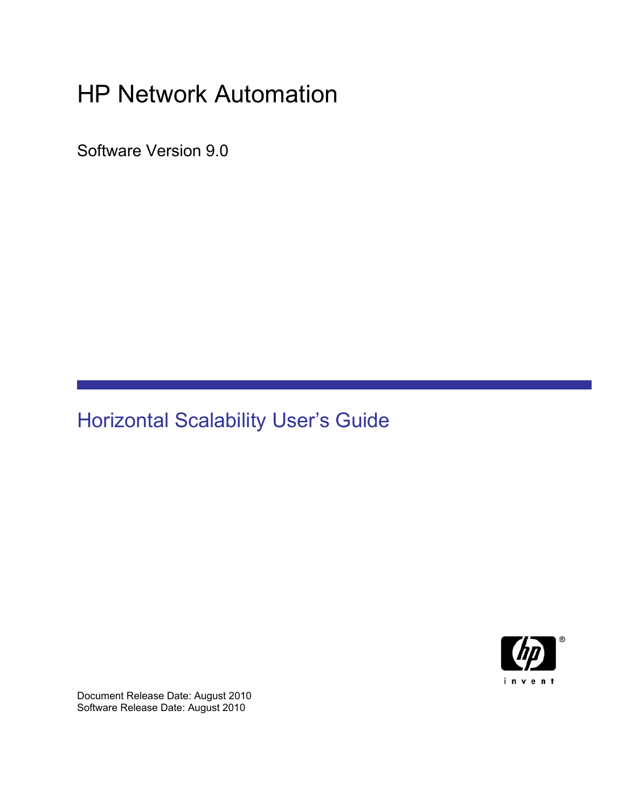# HP Network Automation

Software Version 9.0

# Horizontal Scalability User's Guide



Document Release Date: August 2010 Software Release Date: August 2010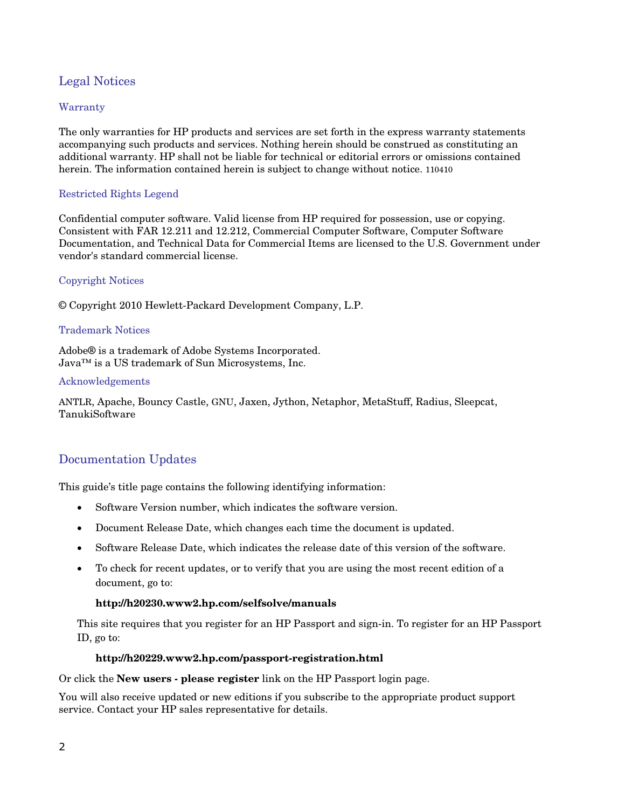#### Legal Notices

#### **Warranty**

The only warranties for HP products and services are set forth in the express warranty statements accompanying such products and services. Nothing herein should be construed as constituting an additional warranty. HP shall not be liable for technical or editorial errors or omissions contained herein. The information contained herein is subject to change without notice. 110410

#### Restricted Rights Legend

Confidential computer software. Valid license from HP required for possession, use or copying. Consistent with FAR 12.211 and 12.212, Commercial Computer Software, Computer Software Documentation, and Technical Data for Commercial Items are licensed to the U.S. Government under vendor's standard commercial license.

#### Copyright Notices

© Copyright 2010 Hewlett-Packard Development Company, L.P.

#### Trademark Notices

Adobe® is a trademark of Adobe Systems Incorporated. Java™ is a US trademark of Sun Microsystems, Inc.

#### Acknowledgements

ANTLR, Apache, Bouncy Castle, GNU, Jaxen, Jython, Netaphor, MetaStuff, Radius, Sleepcat, TanukiSoftware

#### Documentation Updates

This guide's title page contains the following identifying information:

- Software Version number, which indicates the software version.
- Document Release Date, which changes each time the document is updated.
- Software Release Date, which indicates the release date of this version of the software.
- To check for recent updates, or to verify that you are using the most recent edition of a document, go to:

#### **http://h20230.www2.hp.com/selfsolve/manuals**

This site requires that you register for an HP Passport and sign-in. To register for an HP Passport ID, go to:

#### **http://h20229.www2.hp.com/passport-registration.html**

Or click the **New users - please register** link on the HP Passport login page.

You will also receive updated or new editions if you subscribe to the appropriate product support service. Contact your HP sales representative for details.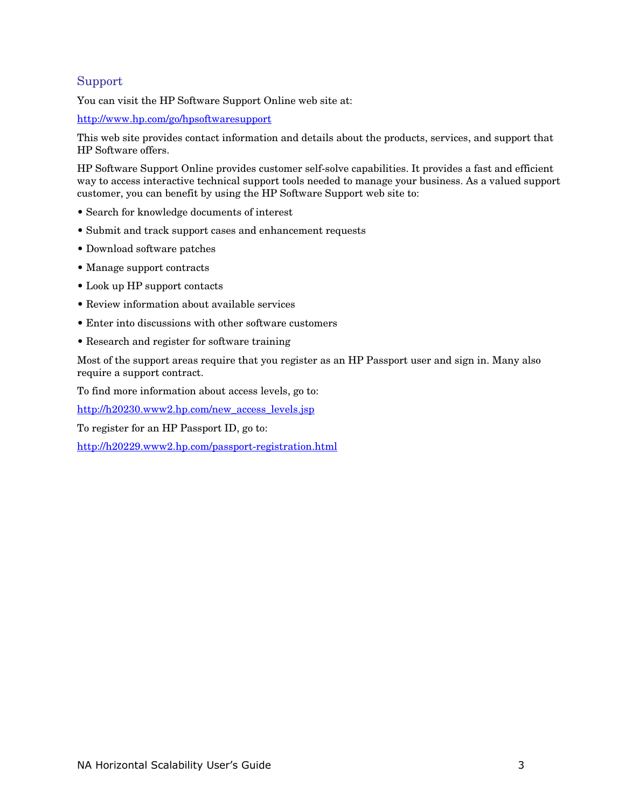#### Support

You can visit the HP Software Support Online web site at:

<http://www.hp.com/go/hpsoftwaresupport>

This web site provides contact information and details about the products, services, and support that HP Software offers.

HP Software Support Online provides customer self-solve capabilities. It provides a fast and efficient way to access interactive technical support tools needed to manage your business. As a valued support customer, you can benefit by using the HP Software Support web site to:

- Search for knowledge documents of interest
- Submit and track support cases and enhancement requests
- Download software patches
- Manage support contracts
- Look up HP support contacts
- Review information about available services
- Enter into discussions with other software customers
- Research and register for software training

Most of the support areas require that you register as an HP Passport user and sign in. Many also require a support contract.

To find more information about access levels, go to:

[http://h20230.www2.hp.com/new\\_access\\_levels.jsp](http://h20230.www2.hp.com/new_access_levels.jsp)

To register for an HP Passport ID, go to:

<http://h20229.www2.hp.com/passport-registration.html>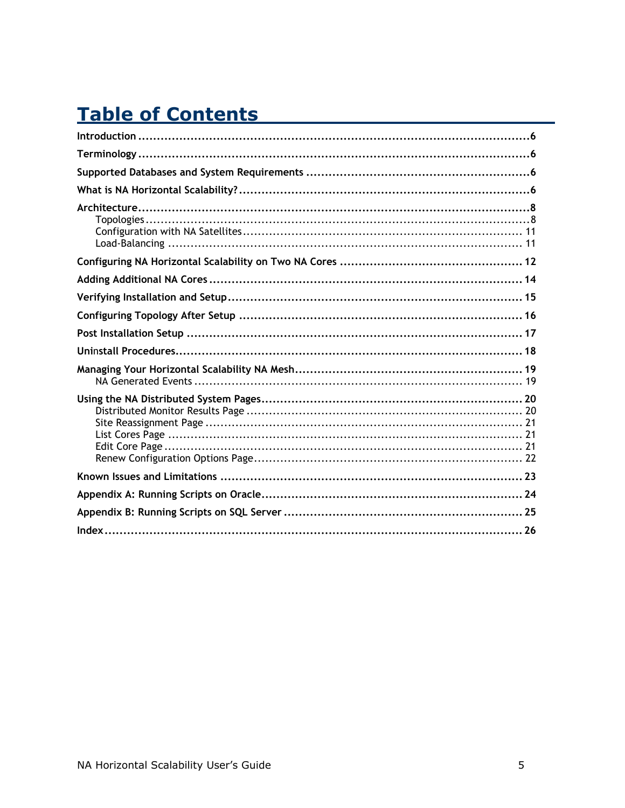# **Table of Contents**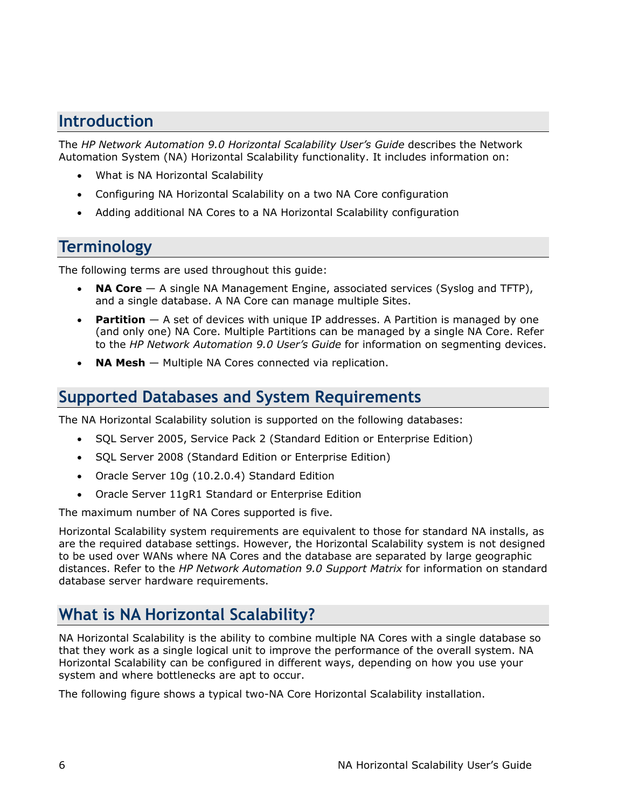### <span id="page-5-0"></span>**Introduction**

The *HP Network Automation 9.0 Horizontal Scalability User's Guide* describes the Network Automation System (NA) Horizontal Scalability functionality. It includes information on:

- What is NA Horizontal Scalability
- Configuring NA Horizontal Scalability on a two NA Core configuration
- Adding additional NA Cores to a NA Horizontal Scalability configuration

### **Terminology**

The following terms are used throughout this guide:

- **NA Core** A single NA Management Engine, associated services (Syslog and TFTP), and a single database. A NA Core can manage multiple Sites.
- **Partition** A set of devices with unique IP addresses. A Partition is managed by one (and only one) NA Core. Multiple Partitions can be managed by a single NA Core. Refer to the *HP Network Automation 9.0 User's Guide* for information on segmenting devices.
- **NA Mesh** Multiple NA Cores connected via replication.

### **Supported Databases and System Requirements**

The NA Horizontal Scalability solution is supported on the following databases:

- SQL Server 2005, Service Pack 2 (Standard Edition or Enterprise Edition)
- SQL Server 2008 (Standard Edition or Enterprise Edition)
- Oracle Server 10g (10.2.0.4) Standard Edition
- Oracle Server 11gR1 Standard or Enterprise Edition

The maximum number of NA Cores supported is five.

Horizontal Scalability system requirements are equivalent to those for standard NA installs, as are the required database settings. However, the Horizontal Scalability system is not designed to be used over WANs where NA Cores and the database are separated by large geographic distances. Refer to the *HP Network Automation 9.0 Support Matrix* for information on standard database server hardware requirements.

### **What is NA Horizontal Scalability?**

NA Horizontal Scalability is the ability to combine multiple NA Cores with a single database so that they work as a single logical unit to improve the performance of the overall system. NA Horizontal Scalability can be configured in different ways, depending on how you use your system and where bottlenecks are apt to occur.

The following figure shows a typical two-NA Core Horizontal Scalability installation.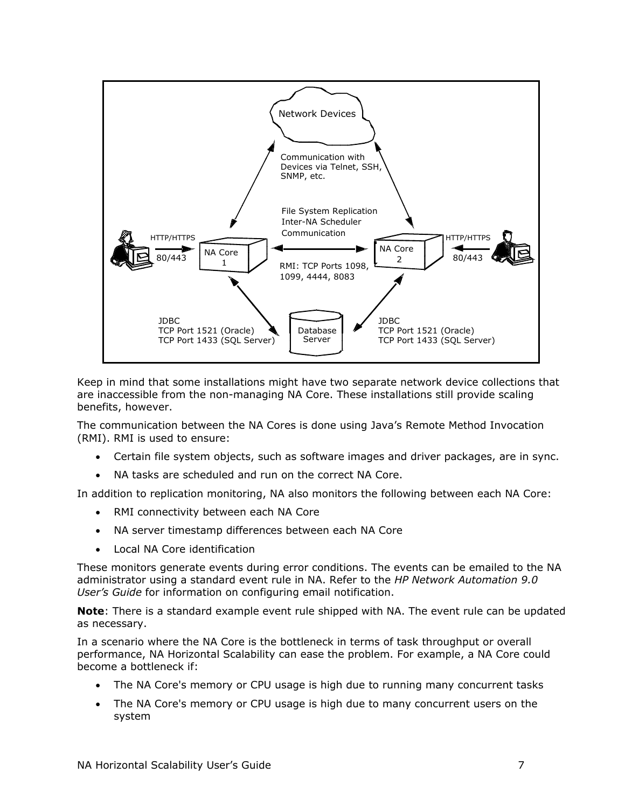

Keep in mind that some installations might have two separate network device collections that are inaccessible from the non-managing NA Core. These installations still provide scaling benefits, however.

The communication between the NA Cores is done using Java's Remote Method Invocation (RMI). RMI is used to ensure:

- Certain file system objects, such as software images and driver packages, are in sync.
- NA tasks are scheduled and run on the correct NA Core.

In addition to replication monitoring, NA also monitors the following between each NA Core:

- RMI connectivity between each NA Core
- NA server timestamp differences between each NA Core
- Local NA Core identification

These monitors generate events during error conditions. The events can be emailed to the NA administrator using a standard event rule in NA. Refer to the *HP Network Automation 9.0 User's Guide* for information on configuring email notification.

**Note**: There is a standard example event rule shipped with NA. The event rule can be updated as necessary.

In a scenario where the NA Core is the bottleneck in terms of task throughput or overall performance, NA Horizontal Scalability can ease the problem. For example, a NA Core could become a bottleneck if:

- The NA Core's memory or CPU usage is high due to running many concurrent tasks
- The NA Core's memory or CPU usage is high due to many concurrent users on the system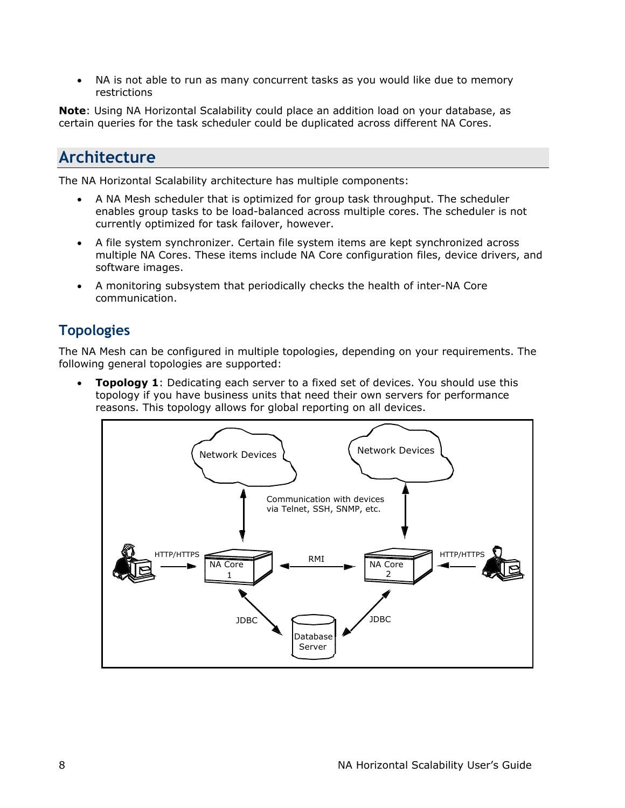<span id="page-7-0"></span>• NA is not able to run as many concurrent tasks as you would like due to memory restrictions

**Note**: Using NA Horizontal Scalability could place an addition load on your database, as certain queries for the task scheduler could be duplicated across different NA Cores.

### **Architecture**

The NA Horizontal Scalability architecture has multiple components:

- A NA Mesh scheduler that is optimized for group task throughput. The scheduler enables group tasks to be load-balanced across multiple cores. The scheduler is not currently optimized for task failover, however.
- A file system synchronizer. Certain file system items are kept synchronized across multiple NA Cores. These items include NA Core configuration files, device drivers, and software images.
- A monitoring subsystem that periodically checks the health of inter-NA Core communication.

## **Topologies**

The NA Mesh can be configured in multiple topologies, depending on your requirements. The following general topologies are supported:

• **Topology 1**: Dedicating each server to a fixed set of devices. You should use this topology if you have business units that need their own servers for performance reasons. This topology allows for global reporting on all devices.

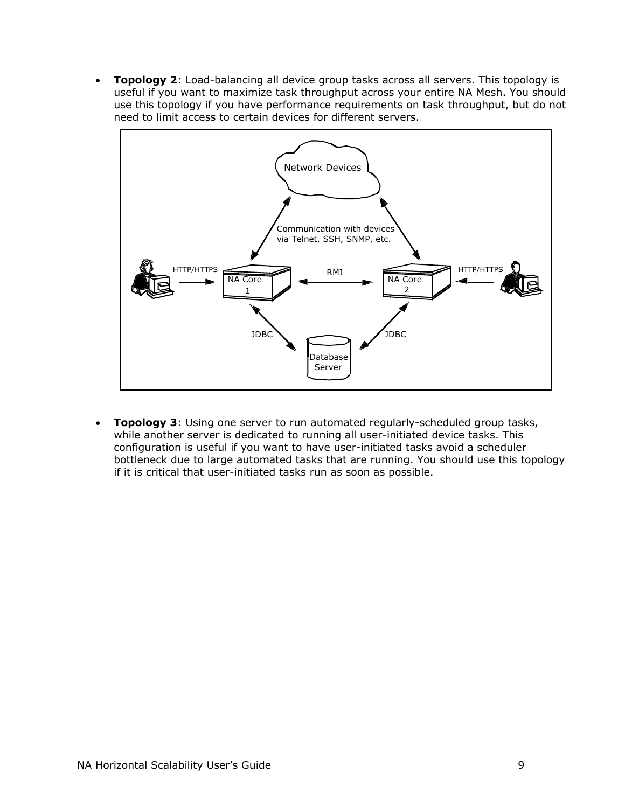• **Topology 2**: Load-balancing all device group tasks across all servers. This topology is useful if you want to maximize task throughput across your entire NA Mesh. You should use this topology if you have performance requirements on task throughput, but do not need to limit access to certain devices for different servers.



• **Topology 3**: Using one server to run automated regularly-scheduled group tasks, while another server is dedicated to running all user-initiated device tasks. This configuration is useful if you want to have user-initiated tasks avoid a scheduler bottleneck due to large automated tasks that are running. You should use this topology if it is critical that user-initiated tasks run as soon as possible.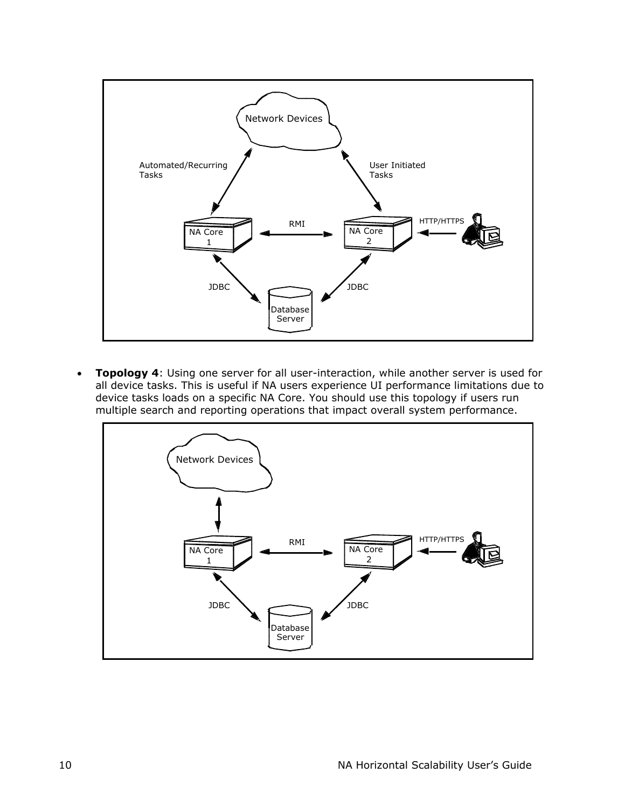

• **Topology 4**: Using one server for all user-interaction, while another server is used for all device tasks. This is useful if NA users experience UI performance limitations due to device tasks loads on a specific NA Core. You should use this topology if users run multiple search and reporting operations that impact overall system performance.

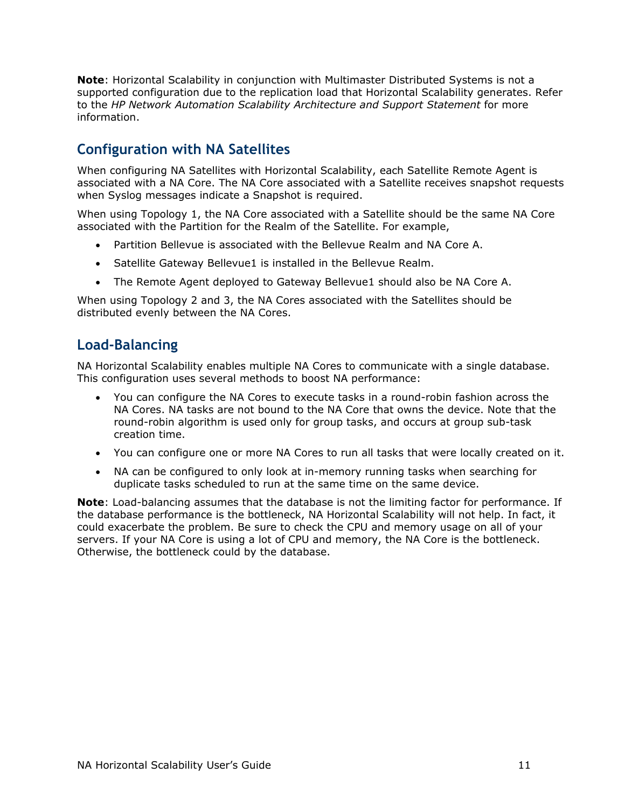<span id="page-10-0"></span>**Note**: Horizontal Scalability in conjunction with Multimaster Distributed Systems is not a supported configuration due to the replication load that Horizontal Scalability generates. Refer to the *HP Network Automation Scalability Architecture and Support Statement* for more information.

### **Configuration with NA Satellites**

When configuring NA Satellites with Horizontal Scalability, each Satellite Remote Agent is associated with a NA Core. The NA Core associated with a Satellite receives snapshot requests when Syslog messages indicate a Snapshot is required.

When using Topology 1, the NA Core associated with a Satellite should be the same NA Core associated with the Partition for the Realm of the Satellite. For example,

- Partition Bellevue is associated with the Bellevue Realm and NA Core A.
- Satellite Gateway Bellevue1 is installed in the Bellevue Realm.
- The Remote Agent deployed to Gateway Bellevue1 should also be NA Core A.

When using Topology 2 and 3, the NA Cores associated with the Satellites should be distributed evenly between the NA Cores.

#### **Load-Balancing**

NA Horizontal Scalability enables multiple NA Cores to communicate with a single database. This configuration uses several methods to boost NA performance:

- You can configure the NA Cores to execute tasks in a round-robin fashion across the NA Cores. NA tasks are not bound to the NA Core that owns the device. Note that the round-robin algorithm is used only for group tasks, and occurs at group sub-task creation time.
- You can configure one or more NA Cores to run all tasks that were locally created on it.
- NA can be configured to only look at in-memory running tasks when searching for duplicate tasks scheduled to run at the same time on the same device.

**Note**: Load-balancing assumes that the database is not the limiting factor for performance. If the database performance is the bottleneck, NA Horizontal Scalability will not help. In fact, it could exacerbate the problem. Be sure to check the CPU and memory usage on all of your servers. If your NA Core is using a lot of CPU and memory, the NA Core is the bottleneck. Otherwise, the bottleneck could by the database.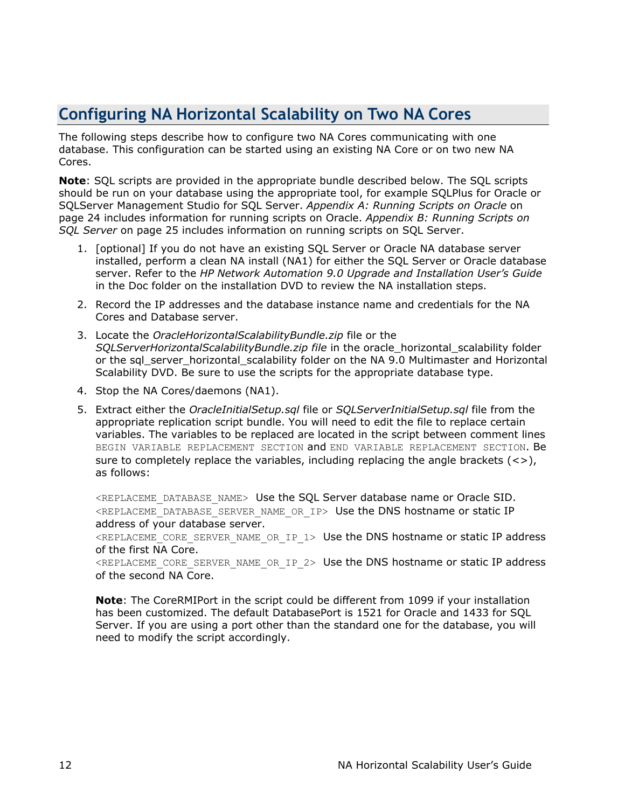# <span id="page-11-0"></span>**Configuring NA Horizontal Scalability on Two NA Cores**

The following steps describe how to configure two NA Cores communicating with one database. This configuration can be started using an existing NA Core or on two new NA Cores.

**Note**: SQL scripts are provided in the appropriate bundle described below. The SQL scripts should be run on your database using the appropriate tool, for example SQLPlus for Oracle or SQLServer Management Studio for SQL Server. *Appendix A: Running Scripts on Oracle* on page 24 includes information for running scripts on Oracle. *Appendix B: Running Scripts on SQL Server* on page 25 includes information on running scripts on SQL Server.

- 1. [optional] If you do not have an existing SQL Server or Oracle NA database server installed, perform a clean NA install (NA1) for either the SQL Server or Oracle database server. Refer to the *HP Network Automation 9.0 Upgrade and Installation User's Guide*  in the Doc folder on the installation DVD to review the NA installation steps.
- 2. Record the IP addresses and the database instance name and credentials for the NA Cores and Database server.
- 3. Locate the *OracleHorizontalScalabilityBundle.zip* file or the *SQLServerHorizontalScalabilityBundle.zip file* in the oracle\_horizontal\_scalability folder or the sql\_server\_horizontal\_scalability folder on the NA 9.0 Multimaster and Horizontal Scalability DVD. Be sure to use the scripts for the appropriate database type.
- 4. Stop the NA Cores/daemons (NA1).
- 5. Extract either the *OracleInitialSetup.sql* file or *SQLServerInitialSetup.sql* file from the appropriate replication script bundle. You will need to edit the file to replace certain variables. The variables to be replaced are located in the script between comment lines BEGIN VARIABLE REPLACEMENT SECTION and END VARIABLE REPLACEMENT SECTION. Be sure to completely replace the variables, including replacing the angle brackets  $(\langle \rangle)$ , as follows:

<REPLACEME\_DATABASE\_NAME> Use the SQL Server database name or Oracle SID. <REPLACEME\_DATABASE\_SERVER\_NAME\_OR\_IP> Use the DNS hostname or static IP address of your database server.

<REPLACEME\_CORE\_SERVER\_NAME\_OR\_IP\_1> Use the DNS hostname or static IP address of the first NA Core.

<REPLACEME\_CORE\_SERVER\_NAME\_OR\_IP\_2> Use the DNS hostname or static IP address of the second NA Core.

**Note**: The CoreRMIPort in the script could be different from 1099 if your installation has been customized. The default DatabasePort is 1521 for Oracle and 1433 for SQL Server. If you are using a port other than the standard one for the database, you will need to modify the script accordingly.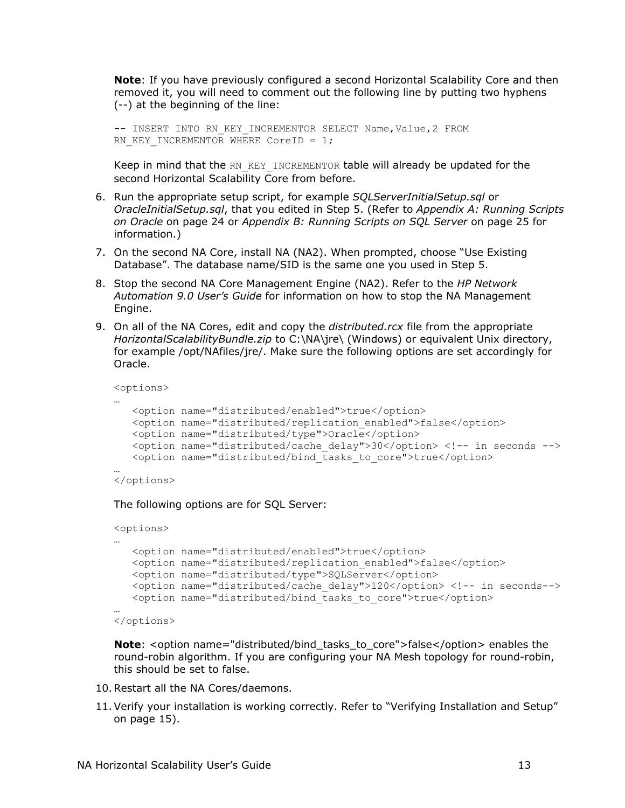**Note**: If you have previously configured a second Horizontal Scalability Core and then removed it, you will need to comment out the following line by putting two hyphens (--) at the beginning of the line:

```
-- INSERT INTO RN KEY INCREMENTOR SELECT Name, Value, 2 FROM
RN KEY INCREMENTOR WHERE CoreID = 1;
```
Keep in mind that the RN KEY\_INCREMENTOR table will already be updated for the second Horizontal Scalability Core from before.

- 6. Run the appropriate setup script, for example *SQLServerInitialSetup.sql* or *OracleInitialSetup.sql*, that you edited in Step 5. (Refer to *Appendix A: Running Scripts on Oracle* on page 24 or *Appendix B: Running Scripts on SQL Server* on page 25 for information.)
- 7. On the second NA Core, install NA (NA2). When prompted, choose "Use Existing Database". The database name/SID is the same one you used in Step 5.
- 8. Stop the second NA Core Management Engine (NA2). Refer to the *HP Network Automation 9.0 User's Guide* for information on how to stop the NA Management Engine.
- 9. On all of the NA Cores, edit and copy the *distributed.rcx* file from the appropriate *HorizontalScalabilityBundle.zip* to C:\NA\jre\ (Windows) or equivalent Unix directory, for example /opt/NAfiles/jre/. Make sure the following options are set accordingly for Oracle.

```
<options>
```

```
… 
   <option name="distributed/enabled">true</option> 
  <option name="distributed/replication enabled">false</option>
   <option name="distributed/type">Oracle</option> 
    <option name="distributed/cache_delay">30</option> <!-- in seconds --> 
   <option name="distributed/bind_tasks_to_core">true</option>
```
… </options>

The following options are for SQL Server:

```
<options> 
… 
    <option name="distributed/enabled">true</option> 
   <option name="distributed/replication enabled">false</option>
    <option name="distributed/type">SQLServer</option> 
    <option name="distributed/cache_delay">120</option> <!-- in seconds--> 
    <option name="distributed/bind_tasks_to_core">true</option> 
…
```

```
</options>
```
**Note**: <option name="distributed/bind\_tasks\_to\_core">false</option> enables the round-robin algorithm. If you are configuring your NA Mesh topology for round-robin, this should be set to false.

- 10. Restart all the NA Cores/daemons.
- 11.Verify your installation is working correctly. Refer to "Verifying Installation and Setup" on page 15).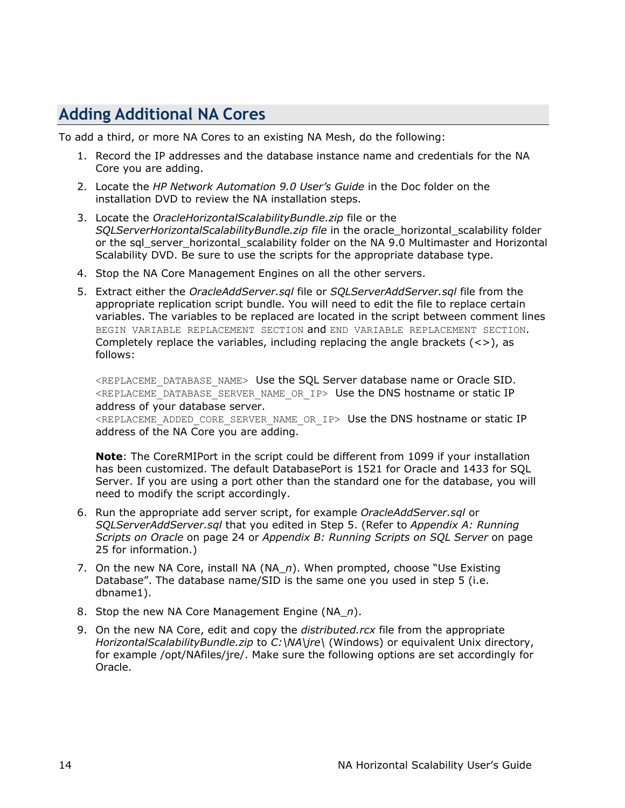## <span id="page-13-0"></span>**Adding Additional NA Cores**

To add a third, or more NA Cores to an existing NA Mesh, do the following:

- 1. Record the IP addresses and the database instance name and credentials for the NA Core you are adding.
- 2. Locate the *HP Network Automation 9.0 User's Guide* in the Doc folder on the installation DVD to review the NA installation steps.
- 3. Locate the *OracleHorizontalScalabilityBundle.zip* file or the *SQLServerHorizontalScalabilityBundle.zip file* in the oracle\_horizontal\_scalability folder or the sal server horizontal scalability folder on the NA 9.0 Multimaster and Horizontal Scalability DVD. Be sure to use the scripts for the appropriate database type.
- 4. Stop the NA Core Management Engines on all the other servers.
- 5. Extract either the *OracleAddServer.sql* file or *SQLServerAddServer.sql* file from the appropriate replication script bundle. You will need to edit the file to replace certain variables. The variables to be replaced are located in the script between comment lines BEGIN VARIABLE REPLACEMENT SECTION and END VARIABLE REPLACEMENT SECTION. Completely replace the variables, including replacing the angle brackets  $\langle \langle \rangle$ , as follows:

<REPLACEME\_DATABASE\_NAME> Use the SQL Server database name or Oracle SID. <REPLACEME\_DATABASE\_SERVER\_NAME\_OR\_IP> Use the DNS hostname or static IP address of your database server.

<REPLACEME\_ADDED\_CORE\_SERVER\_NAME\_OR\_IP> Use the DNS hostname or static IP address of the NA Core you are adding.

**Note**: The CoreRMIPort in the script could be different from 1099 if your installation has been customized. The default DatabasePort is 1521 for Oracle and 1433 for SQL Server. If you are using a port other than the standard one for the database, you will need to modify the script accordingly.

- 6. Run the appropriate add server script, for example *OracleAddServer.sql* or *SQLServerAddServer.sql* that you edited in Step 5. (Refer to *Appendix A: Running Scripts on Oracle* on page 24 or *Appendix B: Running Scripts on SQL Server* on page 25 for information.)
- 7. On the new NA Core, install NA (NA\_*n*). When prompted, choose "Use Existing Database". The database name/SID is the same one you used in step 5 (i.e. dbname1).
- 8. Stop the new NA Core Management Engine (NA\_*n*).
- 9. On the new NA Core, edit and copy the *distributed.rcx* file from the appropriate *HorizontalScalabilityBundle.zip* to *C:\NA\jre\* (Windows) or equivalent Unix directory, for example /opt/NAfiles/jre/. Make sure the following options are set accordingly for Oracle.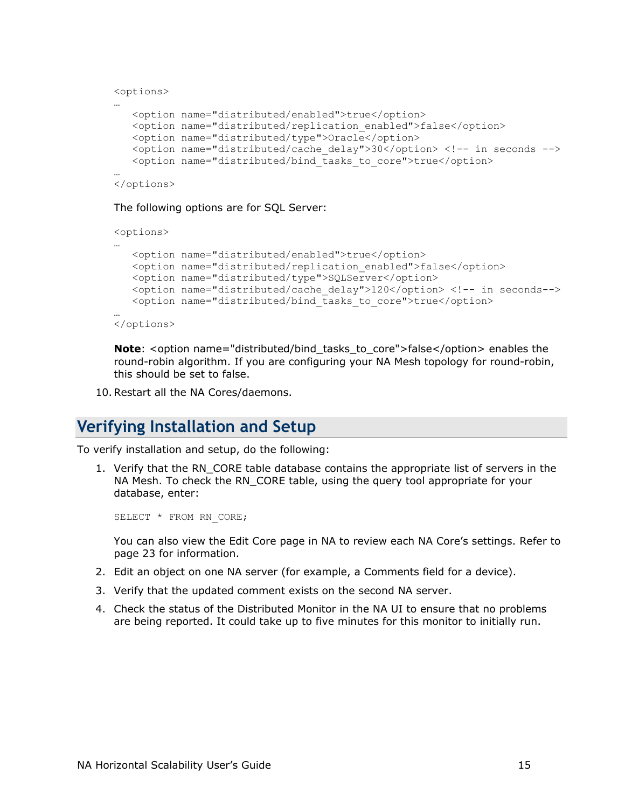```
<options> 
… 
    <option name="distributed/enabled">true</option> 
   <option name="distributed/replication enabled">false</option>
    <option name="distributed/type">Oracle</option> 
    <option name="distributed/cache_delay">30</option> <!-- in seconds --> 
    <option name="distributed/bind_tasks_to_core">true</option> 
…
```

```
</options>
```
The following options are for SQL Server:

```
<options> 
… 
    <option name="distributed/enabled">true</option> 
   <option name="distributed/replication enabled">false</option>
    <option name="distributed/type">SQLServer</option> 
    <option name="distributed/cache_delay">120</option> <!-- in seconds--> 
   <option name="distributed/bind tasks to core">true</option>
… 
</options>
```
**Note**: <option name="distributed/bind\_tasks\_to\_core">false</option> enables the round-robin algorithm. If you are configuring your NA Mesh topology for round-robin, this should be set to false.

10. Restart all the NA Cores/daemons.

### **Verifying Installation and Setup**

To verify installation and setup, do the following:

1. Verify that the RN CORE table database contains the appropriate list of servers in the NA Mesh. To check the RN\_CORE table, using the query tool appropriate for your database, enter:

```
SELECT * FROM RN CORE;
```
You can also view the Edit Core page in NA to review each NA Core's settings. Refer to page 23 for information.

- 2. Edit an object on one NA server (for example, a Comments field for a device).
- 3. Verify that the updated comment exists on the second NA server.
- 4. Check the status of the Distributed Monitor in the NA UI to ensure that no problems are being reported. It could take up to five minutes for this monitor to initially run.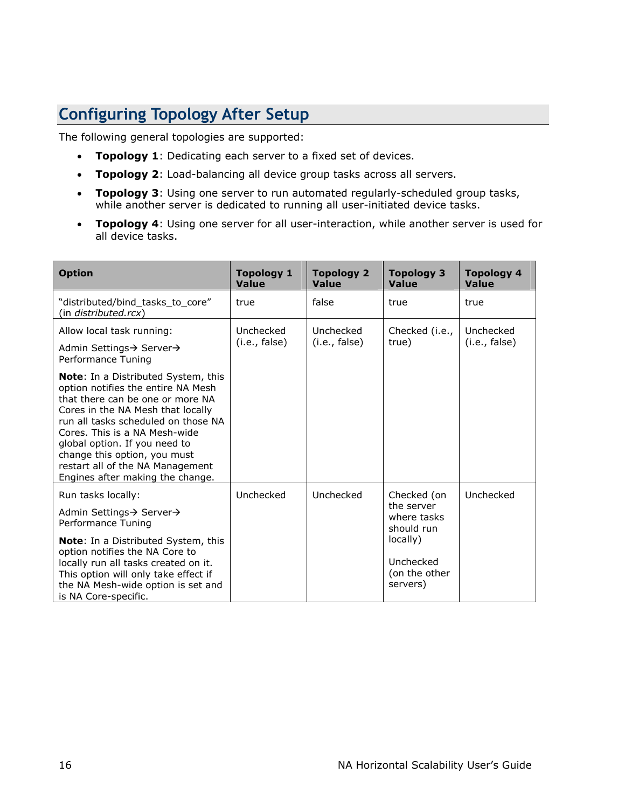# <span id="page-15-0"></span>**Configuring Topology After Setup**

The following general topologies are supported:

- **Topology 1**: Dedicating each server to a fixed set of devices.
- **Topology 2**: Load-balancing all device group tasks across all servers.
- **Topology 3**: Using one server to run automated regularly-scheduled group tasks, while another server is dedicated to running all user-initiated device tasks.
- **Topology 4**: Using one server for all user-interaction, while another server is used for all device tasks.

| <b>Option</b>                                                                                                                                                                                                                                                                                                                                                       | <b>Topology 1</b><br><b>Value</b> | Topology 2<br><b>Value</b> | Topology 3<br><b>Value</b>                             | <b>Topology 4</b><br><b>Value</b> |
|---------------------------------------------------------------------------------------------------------------------------------------------------------------------------------------------------------------------------------------------------------------------------------------------------------------------------------------------------------------------|-----------------------------------|----------------------------|--------------------------------------------------------|-----------------------------------|
| "distributed/bind_tasks_to_core"<br>(in <i>distributed.rcx</i> )                                                                                                                                                                                                                                                                                                    | true                              | false                      | true                                                   | true                              |
| Allow local task running:                                                                                                                                                                                                                                                                                                                                           | Unchecked<br>(i.e., false)        | Unchecked<br>(i.e., false) | Checked (i.e.,<br>true)                                | Unchecked<br>(i.e., false)        |
| Admin Settings→ Server→<br>Performance Tuning                                                                                                                                                                                                                                                                                                                       |                                   |                            |                                                        |                                   |
| Note: In a Distributed System, this<br>option notifies the entire NA Mesh<br>that there can be one or more NA<br>Cores in the NA Mesh that locally<br>run all tasks scheduled on those NA<br>Cores. This is a NA Mesh-wide<br>global option. If you need to<br>change this option, you must<br>restart all of the NA Management<br>Engines after making the change. |                                   |                            |                                                        |                                   |
| Run tasks locally:                                                                                                                                                                                                                                                                                                                                                  | Unchecked                         | Unchecked                  | Checked (on<br>the server<br>where tasks<br>should run | Unchecked                         |
| Admin Settings→ Server→<br>Performance Tuning                                                                                                                                                                                                                                                                                                                       |                                   |                            |                                                        |                                   |
| Note: In a Distributed System, this<br>option notifies the NA Core to<br>locally run all tasks created on it.<br>This option will only take effect if<br>the NA Mesh-wide option is set and<br>is NA Core-specific.                                                                                                                                                 |                                   |                            | locally)<br>Unchecked<br>(on the other<br>servers)     |                                   |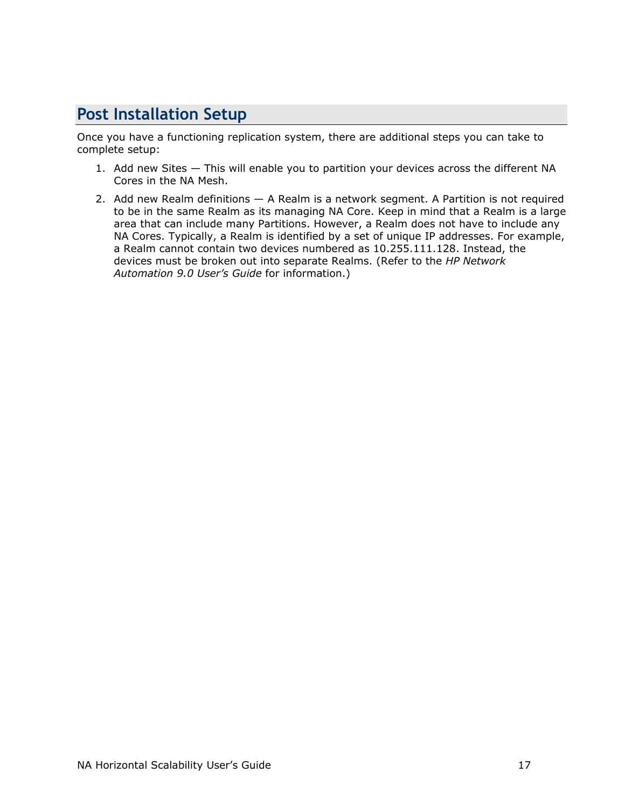# <span id="page-16-0"></span>**Post Installation Setup**

Once you have a functioning replication system, there are additional steps you can take to complete setup:

- 1. Add new Sites This will enable you to partition your devices across the different NA Cores in the NA Mesh.
- 2. Add new Realm definitions A Realm is a network segment. A Partition is not required to be in the same Realm as its managing NA Core. Keep in mind that a Realm is a large area that can include many Partitions. However, a Realm does not have to include any NA Cores. Typically, a Realm is identified by a set of unique IP addresses. For example, a Realm cannot contain two devices numbered as 10.255.111.128. Instead, the devices must be broken out into separate Realms. (Refer to the *HP Network Automation 9.0 User's Guide* for information.)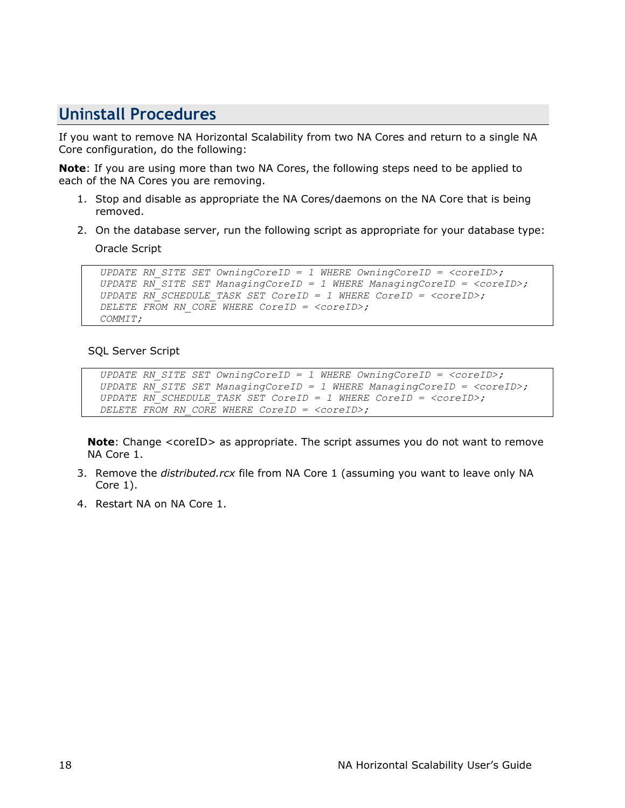## <span id="page-17-0"></span>**Uni**n**stall Procedures**

If you want to remove NA Horizontal Scalability from two NA Cores and return to a single NA Core configuration, do the following:

**Note**: If you are using more than two NA Cores, the following steps need to be applied to each of the NA Cores you are removing.

- 1. Stop and disable as appropriate the NA Cores/daemons on the NA Core that is being removed.
- 2. On the database server, run the following script as appropriate for your database type:

Oracle Script

```
 UPDATE RN_SITE SET OwningCoreID = 1 WHERE OwningCoreID = <coreID>; 
 UPDATE RN_SITE SET ManagingCoreID = 1 WHERE ManagingCoreID = <coreID>; 
 UPDATE RN_SCHEDULE_TASK SET CoreID = 1 WHERE CoreID = <coreID>; 
 DELETE FROM RN_CORE WHERE CoreID = <coreID>; 
 COMMIT;
```
#### SQL Server Script

```
 UPDATE RN_SITE SET OwningCoreID = 1 WHERE OwningCoreID = <coreID>; 
 UPDATE RN_SITE SET ManagingCoreID = 1 WHERE ManagingCoreID = <coreID>; 
 UPDATE RN_SCHEDULE_TASK SET CoreID = 1 WHERE CoreID = <coreID>; 
 DELETE FROM RN_CORE WHERE CoreID = <coreID>;
```
**Note**: Change <coreID> as appropriate. The script assumes you do not want to remove NA Core 1.

- 3. Remove the *distributed.rcx* file from NA Core 1 (assuming you want to leave only NA Core 1).
- 4. Restart NA on NA Core 1.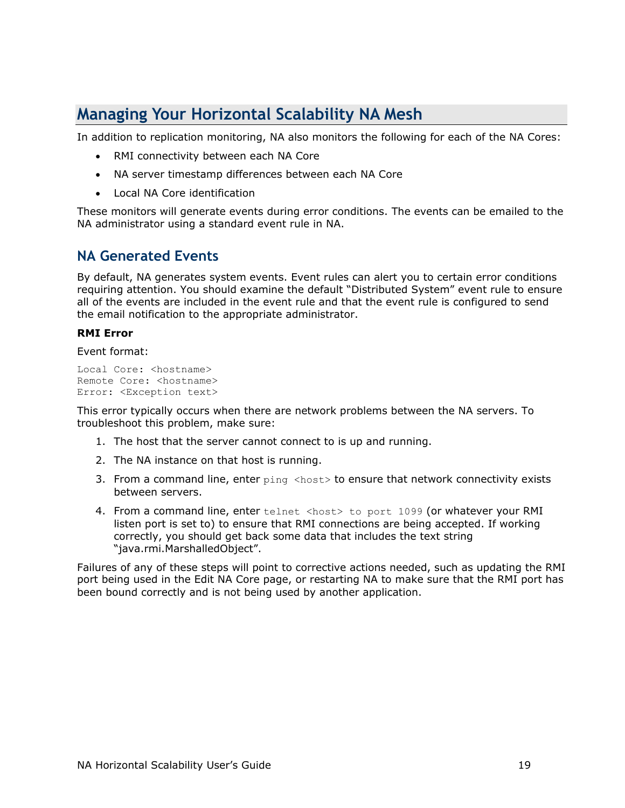# <span id="page-18-0"></span>**Managing Your Horizontal Scalability NA Mesh**

In addition to replication monitoring, NA also monitors the following for each of the NA Cores:

- RMI connectivity between each NA Core
- NA server timestamp differences between each NA Core
- Local NA Core identification

These monitors will generate events during error conditions. The events can be emailed to the NA administrator using a standard event rule in NA.

#### **NA Generated Events**

By default, NA generates system events. Event rules can alert you to certain error conditions requiring attention. You should examine the default "Distributed System" event rule to ensure all of the events are included in the event rule and that the event rule is configured to send the email notification to the appropriate administrator.

#### **RMI Error**

Event format:

```
Local Core: <hostname>
Remote Core: <hostname>
Error: <Exception text>
```
This error typically occurs when there are network problems between the NA servers. To troubleshoot this problem, make sure:

- 1. The host that the server cannot connect to is up and running.
- 2. The NA instance on that host is running.
- 3. From a command line, enter  $\frac{1}{2}$  and  $\frac{1}{2}$  and  $\frac{1}{2}$  to ensure that network connectivity exists between servers.
- 4. From a command line, enter telnet <host> to port 1099 (or whatever your RMI listen port is set to) to ensure that RMI connections are being accepted. If working correctly, you should get back some data that includes the text string "java.rmi.MarshalledObject".

Failures of any of these steps will point to corrective actions needed, such as updating the RMI port being used in the Edit NA Core page, or restarting NA to make sure that the RMI port has been bound correctly and is not being used by another application.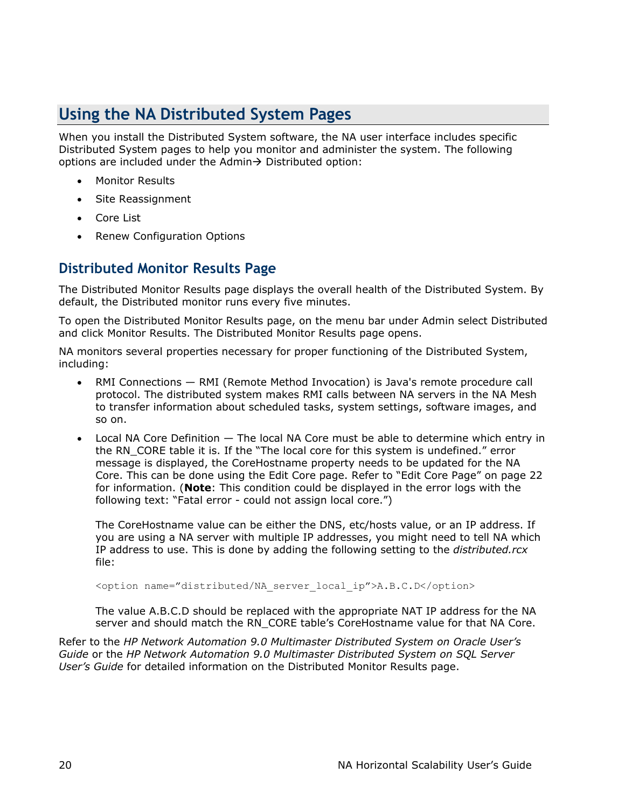# <span id="page-19-0"></span>**Using the NA Distributed System Pages**

When you install the Distributed System software, the NA user interface includes specific Distributed System pages to help you monitor and administer the system. The following options are included under the Admin $\rightarrow$  Distributed option:

- Monitor Results
- Site Reassignment
- Core List
- Renew Configuration Options

#### **Distributed Monitor Results Page**

The Distributed Monitor Results page displays the overall health of the Distributed System. By default, the Distributed monitor runs every five minutes.

To open the Distributed Monitor Results page, on the menu bar under Admin select Distributed and click Monitor Results. The Distributed Monitor Results page opens.

NA monitors several properties necessary for proper functioning of the Distributed System, including:

- RMI Connections RMI (Remote Method Invocation) is Java's remote procedure call protocol. The distributed system makes RMI calls between NA servers in the NA Mesh to transfer information about scheduled tasks, system settings, software images, and so on.
- Local NA Core Definition  $-$  The local NA Core must be able to determine which entry in the RN\_CORE table it is. If the "The local core for this system is undefined." error message is displayed, the CoreHostname property needs to be updated for the NA Core. This can be done using the Edit Core page. Refer to "Edit Core Page" on page 22 for information. (**Note**: This condition could be displayed in the error logs with the following text: "Fatal error - could not assign local core.")

The CoreHostname value can be either the DNS, etc/hosts value, or an IP address. If you are using a NA server with multiple IP addresses, you might need to tell NA which IP address to use. This is done by adding the following setting to the *distributed.rcx* file:

<option name="distributed/NA server local ip">A.B.C.D</option>

The value A.B.C.D should be replaced with the appropriate NAT IP address for the NA server and should match the RN\_CORE table's CoreHostname value for that NA Core.

Refer to the *HP Network Automation 9.0 Multimaster Distributed System on Oracle User's Guide* or the *HP Network Automation 9.0 Multimaster Distributed System on SQL Server User's Guide* for detailed information on the Distributed Monitor Results page.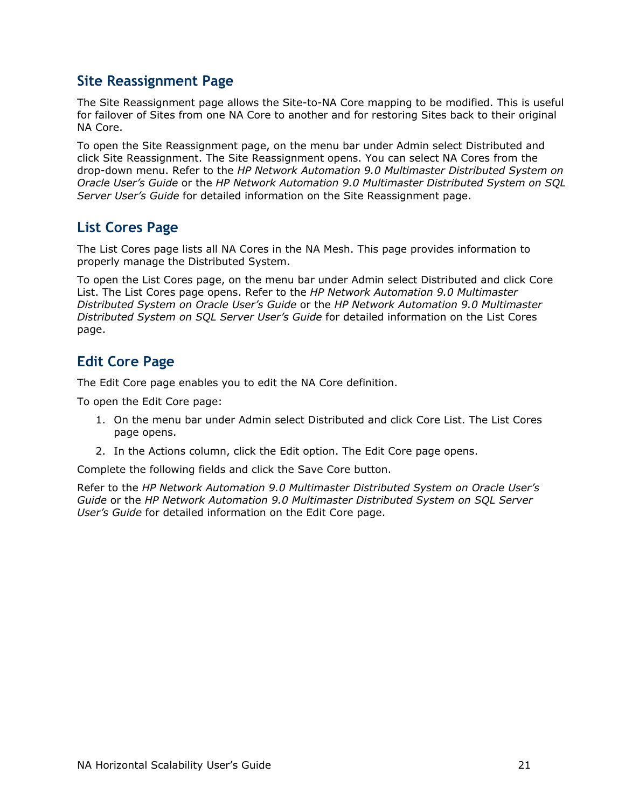#### <span id="page-20-0"></span>**Site Reassignment Page**

The Site Reassignment page allows the Site-to-NA Core mapping to be modified. This is useful for failover of Sites from one NA Core to another and for restoring Sites back to their original NA Core.

To open the Site Reassignment page, on the menu bar under Admin select Distributed and click Site Reassignment. The Site Reassignment opens. You can select NA Cores from the drop-down menu. Refer to the *HP Network Automation 9.0 Multimaster Distributed System on Oracle User's Guide* or the *HP Network Automation 9.0 Multimaster Distributed System on SQL Server User's Guide* for detailed information on the Site Reassignment page.

### **List Cores Page**

The List Cores page lists all NA Cores in the NA Mesh. This page provides information to properly manage the Distributed System.

To open the List Cores page, on the menu bar under Admin select Distributed and click Core List. The List Cores page opens. Refer to the *HP Network Automation 9.0 Multimaster Distributed System on Oracle User's Guide* or the *HP Network Automation 9.0 Multimaster Distributed System on SQL Server User's Guide* for detailed information on the List Cores page.

### **Edit Core Page**

The Edit Core page enables you to edit the NA Core definition.

To open the Edit Core page:

- 1. On the menu bar under Admin select Distributed and click Core List. The List Cores page opens.
- 2. In the Actions column, click the Edit option. The Edit Core page opens.

Complete the following fields and click the Save Core button.

Refer to the *HP Network Automation 9.0 Multimaster Distributed System on Oracle User's Guide* or the *HP Network Automation 9.0 Multimaster Distributed System on SQL Server User's Guide* for detailed information on the Edit Core page.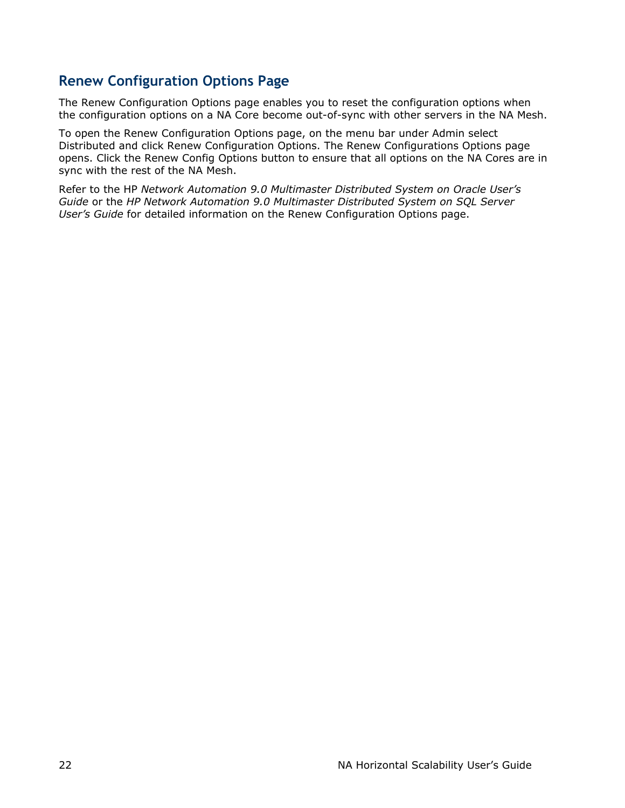### <span id="page-21-0"></span>**Renew Configuration Options Page**

The Renew Configuration Options page enables you to reset the configuration options when the configuration options on a NA Core become out-of-sync with other servers in the NA Mesh.

To open the Renew Configuration Options page, on the menu bar under Admin select Distributed and click Renew Configuration Options. The Renew Configurations Options page opens. Click the Renew Config Options button to ensure that all options on the NA Cores are in sync with the rest of the NA Mesh.

Refer to the HP *Network Automation 9.0 Multimaster Distributed System on Oracle User's Guide* or the *HP Network Automation 9.0 Multimaster Distributed System on SQL Server User's Guide* for detailed information on the Renew Configuration Options page.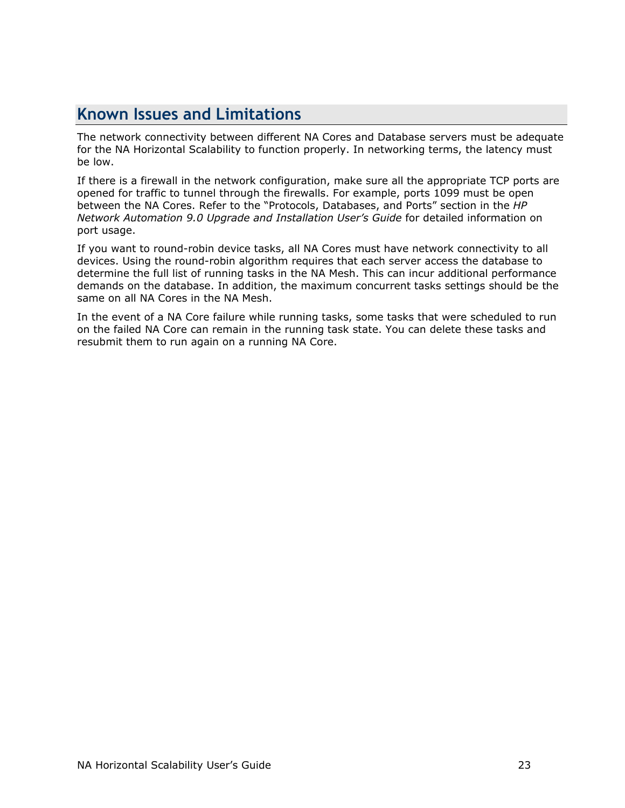# <span id="page-22-0"></span>**Known Issues and Limitations**

The network connectivity between different NA Cores and Database servers must be adequate for the NA Horizontal Scalability to function properly. In networking terms, the latency must be low.

If there is a firewall in the network configuration, make sure all the appropriate TCP ports are opened for traffic to tunnel through the firewalls. For example, ports 1099 must be open between the NA Cores. Refer to the "Protocols, Databases, and Ports" section in the *HP Network Automation 9.0 Upgrade and Installation User's Guide* for detailed information on port usage.

If you want to round-robin device tasks, all NA Cores must have network connectivity to all devices. Using the round-robin algorithm requires that each server access the database to determine the full list of running tasks in the NA Mesh. This can incur additional performance demands on the database. In addition, the maximum concurrent tasks settings should be the same on all NA Cores in the NA Mesh.

In the event of a NA Core failure while running tasks, some tasks that were scheduled to run on the failed NA Core can remain in the running task state. You can delete these tasks and resubmit them to run again on a running NA Core.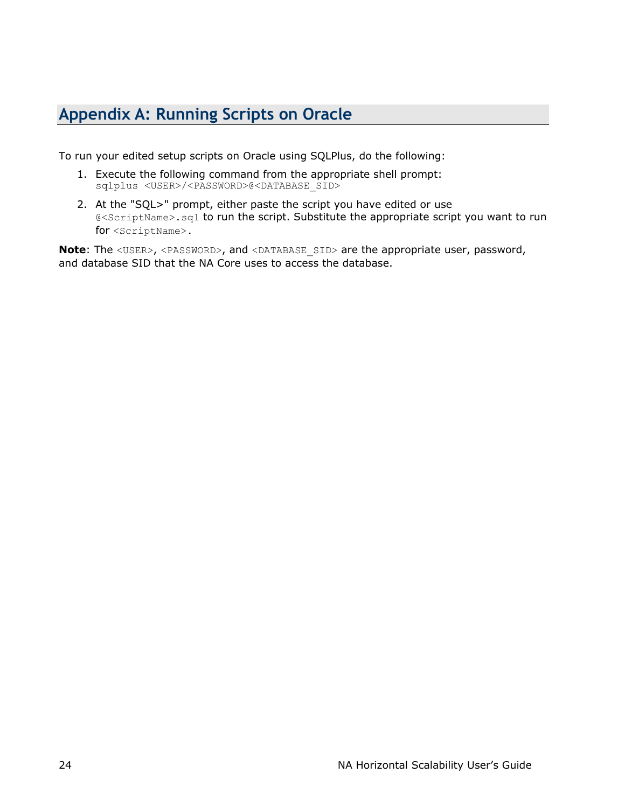# <span id="page-23-0"></span>**Appendix A: Running Scripts on Oracle**

To run your edited setup scripts on Oracle using SQLPlus, do the following:

- 1. Execute the following command from the appropriate shell prompt: sqlplus <USER>/<PASSWORD>@<DATABASE SID>
- 2. At the "SQL>" prompt, either paste the script you have edited or use @<ScriptName>.sql to run the script. Substitute the appropriate script you want to run for <ScriptName>.

**Note:** The <USER>, <PASSWORD>, and <DATABASE\_SID> are the appropriate user, password, and database SID that the NA Core uses to access the database.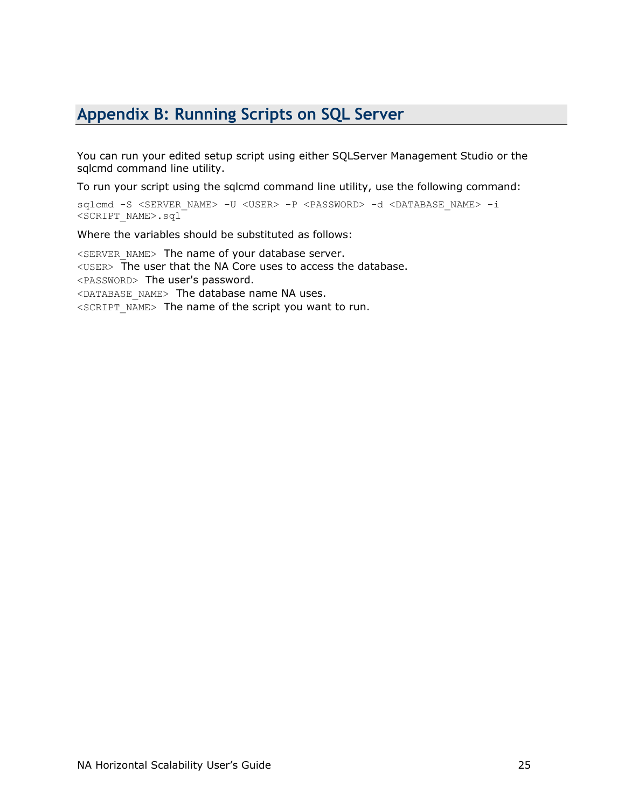# <span id="page-24-0"></span>**Appendix B: Running Scripts on SQL Server**

You can run your edited setup script using either SQLServer Management Studio or the sqlcmd command line utility.

To run your script using the sqlcmd command line utility, use the following command:

sqlcmd -S <SERVER\_NAME> -U <USER> -P <PASSWORD> -d <DATABASE\_NAME> -i <SCRIPT\_NAME>.sql

Where the variables should be substituted as follows:

<SERVER\_NAME> The name of your database server. <USER> The user that the NA Core uses to access the database. <PASSWORD> The user's password. <DATABASE\_NAME> The database name NA uses. <SCRIPT\_NAME> The name of the script you want to run.